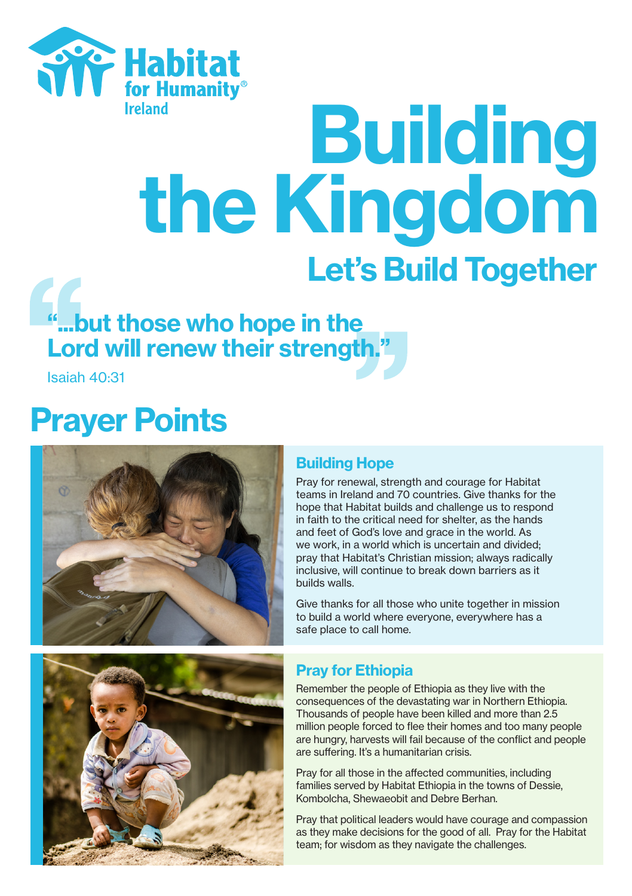

# eland<br>the Kingdom Let's Build Together

# "...but those who hope in the Lord will renew their strength."

Isaiah 40:31

## Prayer Points



## Building Hope

Pray for renewal, strength and courage for Habitat teams in Ireland and 70 countries. Give thanks for the hope that Habitat builds and challenge us to respond in faith to the critical need for shelter, as the hands and feet of God's love and grace in the world. As we work, in a world which is uncertain and divided. pray that Habitat's Christian mission; always radically inclusive, will continue to break down barriers as it builds walls.

Give thanks for all those who unite together in mission to build a world where everyone, everywhere has a safe place to call home.



## Pray for Ethiopia

Remember the people of Ethiopia as they live with the consequences of the devastating war in Northern Ethiopia. Thousands of people have been killed and more than 2.5 million people forced to flee their homes and too many people are hungry, harvests will fail because of the conflict and people are suffering. It's a humanitarian crisis.

Pray for all those in the affected communities, including families served by Habitat Ethiopia in the towns of Dessie, Kombolcha, Shewaeobit and Debre Berhan.

Pray that political leaders would have courage and compassion as they make decisions for the good of all. Pray for the Habitat team; for wisdom as they navigate the challenges.